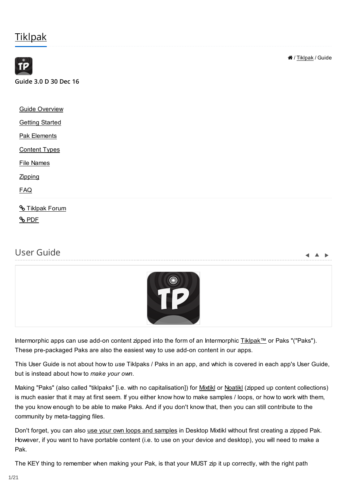# **[Tiklpak](https://intermorphic.com/tiklpak/guide/)**



# User Guide



 $\blacksquare$ 

Intermorphic apps can use add-on content zipped into the form of an Intermorphic [Tiklpak™](https://intermorphic.com/tiklpak/index.html) or Paks "("Paks"). These pre-packaged Paks are also the easiest way to use add-on content in our apps.

This User Guide is not about how to *use* Tiklpaks / Paks in an app, and which is covered in each app's User Guide, but is instead about how to *make your own*.

Making "Paks" (also called "tiklpaks" [i.e. with no capitalisation]) for [Mixtikl](https://intermorphic.com/mixtikl/index.html) or [Noatikl](https://intermorphic.com/noatikl/index.html) (zipped up content collections) is much easier that it may at first seem. If you either know how to make samples / loops, or how to work with them, the you know enough to be able to make Paks. And if you don't know that, then you can still contribute to the community by meta-tagging files.

Don't forget, you can also [use your own loops and samples](https://intermorphic.com/tiklpak/index.html#faq-owncontent) in Desktop Mixtikl without first creating a zipped Pak. However, if you want to have portable content (i.e. to use on your device and desktop), you will need to make a Pak.

The KEY thing to remember when making your Pak, is that your MUST zip it up correctly, with the right path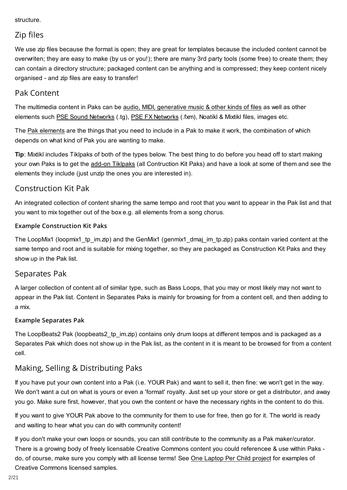### <span id="page-1-0"></span>structure.

### Zip files

We use zip files because the format is open; they are great for templates because the included content cannot be overwriten; they are easy to make (by us or you!); there are many 3rd party tools (some free) to create them; they can contain a directory structure; packaged content can be anything and is compressed; they keep content nicely organised - and zip files are easy to transfer!

### Pak Content

The multimedia content in Paks can be [audio, MIDI, generative music & other kinds of files](#page-13-0) as well as other elements such [PSE Sound Networks](https://intermorphic.com/pse/3/index.html#networkeditor) (.tg), [PSE FX Networks](https://intermorphic.com/pse/3/index.html#networkeditor) (.fxm), Noatikl & Mixtikl files, images etc.

The [Pak elements](#page-3-0) are the things that you need to include in a Pak to make it work, the combination of which depends on what kind of Pak you are wanting to make.

**Tip**: Mixtikl includes Tiklpaks of both of the types below. The best thing to do before you head off to start making your own Paks is to get the [add-on Tiklpaks](https://intermorphic.com/tiklpak/index.html#downloads) (all Contruction Kit Paks) and have a look at some of them and see the elements they include (just unzip the ones you are interested in).

### Construction Kit Pak

An integrated collection of content sharing the same tempo and root that you want to appear in the Pak list and that you want to mix together out of the box e.g. all elements from a song chorus.

### **Example Construction Kit Paks**

The LoopMix1 (loopmix1\_tp\_im.zip) and the GenMix1 (genmix1\_dmaj\_im\_tp.zip) paks contain varied content at the same tempo and root and is suitable for mixing together, so they are packaged as Construction Kit Paks and they show up in the Pak list.

### Separates Pak

A larger collection of content all of similar type, such as Bass Loops, that you may or most likely may not want to appear in the Pak list. Content in Separates Paks is mainly for browsing for from a content cell, and then adding to a mix.

### **Example Separates Pak**

The LoopBeats2 Pak (loopbeats2 tp im.zip) contains only drum loops at different tempos and is packaged as a Separates Pak which does not show up in the Pak list, as the content in it is meant to be browsed for from a content cell.

# Making, Selling & Distributing Paks

If you have put your own content into a Pak (i.e. YOUR Pak) and want to sell it, then fine: we won't get in the way. We don't want a cut on what is yours or even a 'format' royalty. Just set up your store or get a distributor, and away you go. Make sure first, however, that you own the content or have the necessary rights in the content to do this.

If you want to give YOUR Pak above to the community for them to use for free, then go for it. The world is ready and waiting to hear what you can do with community content!

If you don't make your own loops or sounds, you can still contribute to the community as a Pak maker/curator. There is a growing body of freely licensable Creative Commons content you could referencee & use within Paks do, of course, make sure you comply with all license terms! See [One Laptop Per Child project](http://wiki.laptop.org/go/Sound_samples) for examples of Creative Commons licensed samples.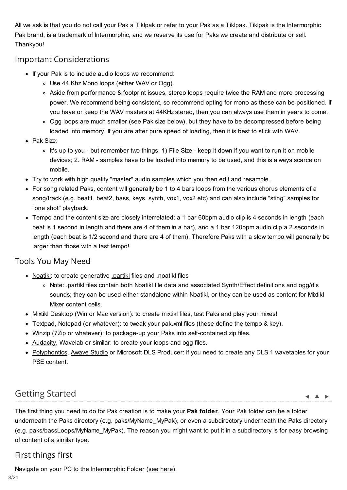<span id="page-2-0"></span>All we ask is that you do not call your Pak a Tiklpak or refer to your Pak as a Tiklpak. Tiklpak is the Intermorphic Pak brand, is a trademark of Intermorphic, and we reserve its use for Paks we create and distribute or sell. Thankyou!

### Important Considerations

- If your Pak is to include audio loops we recommend:
	- Use 44 Khz Mono loops (either WAV or Ogg).
	- Aside from performance & footprint issues, stereo loops require twice the RAM and more processing power. We recommend being consistent, so recommend opting for mono as these can be positioned. If you have or keep the WAV masters at 44KHz stereo, then you can always use them in years to come.
	- o Ogg loops are much smaller (see Pak size below), but they have to be decompressed before being loaded into memory. If you are after pure speed of loading, then it is best to stick with WAV.
- Pak Size:
	- o It's up to you but remember two things: 1) File Size keep it down if you want to run it on mobile devices; 2. RAM - samples have to be loaded into memory to be used, and this is always scarce on mobile.
- Try to work with high quality "master" audio samples which you then edit and resample.
- For song related Paks, content will generally be 1 to 4 bars loops from the various chorus elements of a song/track (e.g. beat1, beat2, bass, keys, synth, vox1, vox2 etc) and can also include "sting" samples for "one shot" playback.
- Tempo and the content size are closely interrelated: a 1 bar 60bpm audio clip is 4 seconds in length (each beat is 1 second in length and there are 4 of them in a bar), and a 1 bar 120bpm audio clip a 2 seconds in length (each beat is 1/2 second and there are 4 of them). Therefore Paks with a slow tempo will generally be larger than those with a fast tempo!

# Tools You May Need

- [Noatikl:](https://intermorphic.com/noatikl/index.html) to create generative [.partikl](https://intermorphic.com/pse/3/index.html) files and .noatikl files
	- Note: .partikl files contain both Noatikl file data and associated Synth/Effect definitions and ogg/dls sounds; they can be used either standalone within Noatikl, or they can be used as content for Mixtikl Mixer content cells.
- [Mixtikl](https://intermorphic.com/mixtikl/index.html) Desktop (Win or Mac version): to create mixtikl files, test Paks and play your mixes!
- Textpad, Notepad (or whatever): to tweak your pak.xml files (these define the tempo & key).
- Winzip (7Zip or whatever): to package-up your Paks into self-contained zip files.
- [Audacity,](http://audacity.sourceforge.net/) Wavelab or similar: to create your loops and ogg files.
- [Polyphontics,](http://sonicamigos.com/polyphontics/) [Awave Studio](http://www.fmjsoft.com/awframe.html) or Microsoft DLS Producer: if you need to create any DLS 1 wavetables for your PSE content.

# Getting Started

 $\blacktriangle$   $\blacktriangle$   $\blacktriangleright$ 

The first thing you need to do for Pak creation is to make your **Pak folder**. Your Pak folder can be a folder underneath the Paks directory (e.g. paks/MyName\_MyPak), or even a subdirectory underneath the Paks directory (e.g. paks/bassLoops/MyName\_MyPak). The reason you might want to put it in a subdirectory is for easy browsing of content of a similar type.

# First things first

Navigate on your PC to the Intermorphic Folder [\(see here\)](https://intermorphic.com/tiklpak/index.html#intermorphicfolder).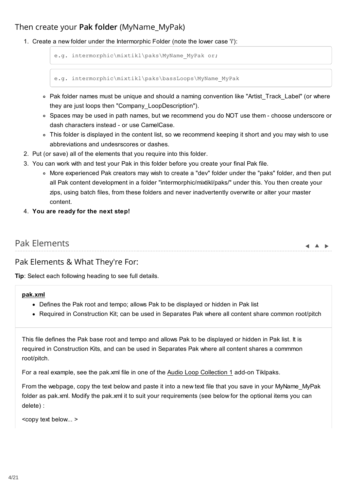# <span id="page-3-0"></span>Then create your **Pak folder** (MyName\_MyPak)

1. Create a new folder under the Intermorphic Folder (note the lower case 'i'):

```
e.g. intermorphic\mixtikl\paks\MyName MyPak or;
```
e.g. intermorphic\mixtikl\paks\bassLoops\MyName MyPak

- Pak folder names must be unique and should a naming convention like "Artist\_Track\_Label" (or where they are just loops then "Company\_LoopDescription").
- o Spaces may be used in path names, but we recommend you do NOT use them choose underscore or dash characters instead - or use CamelCase.
- This folder is displayed in the content list, so we recommend keeping it short and you may wish to use abbreviations and undesrscores or dashes.
- 2. Put (or save) all of the elements that you require into this folder.
- 3. You can work with and test your Pak in this folder before you create your final Pak file.
	- More experienced Pak creators may wish to create a "dev" folder under the "paks" folder, and then put all Pak content development in a folder "intermorphic/mixtikl/paks/" under this. You then create your zips, using batch files, from these folders and never inadvertently overwrite or alter your master content.
- 4. **You are ready for the next step!**

| Pak Elements |  |  |
|--------------|--|--|
|              |  |  |

### Pak Elements & What They're For:

**Tip**: Select each following heading to see full details.

#### **pak.xml**

- Defines the Pak root and tempo; allows Pak to be displayed or hidden in Pak list
- Required in Construction Kit; can be used in Separates Pak where all content share common root/pitch

This file defines the Pak base root and tempo and allows Pak to be displayed or hidden in Pak list. It is required in Construction Kits, and can be used in Separates Pak where all content shares a commmon root/pitch.

For a real example, see the pak.xml file in one of the [Audio Loop Collection 1](https://intermorphic.com/tiklpak/index.html#included-paks) add-on Tiklpaks.

From the webpage, copy the text below and paste it into a new text file that you save in your MyName\_MyPak folder as pak.xml. Modify the pak.xml it to suit your requirements (see below for the optional items you can delete) :

<copy text below... >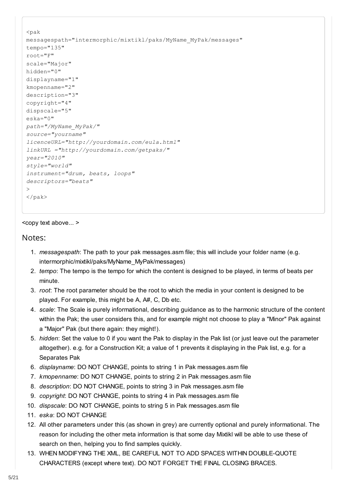```
<pak
messagespath="intermorphic/mixtikl/paks/MyName_MyPak/messages" 
tempo="135" 
root="F" 
scale="Major" 
hidden="0"
displayname="1" 
kmopenname="2" 
description="3" 
copyright="4" 
dispscale="5" 
eska="0"
path="/MyName_MyPak/" 
source="yourname" 
licenceURL="http://yourdomain.com/eula.html" 
linkURL ="http://yourdomain.com/getpaks/" 
year="2010" 
style="world" 
instrument="drum, beats, loops"
descriptors="beats" 
> 
\langle/pak\rangle
```
### <copy text above... >

### Notes:

- 1. *messagespath*: The path to your pak messages.asm file; this will include your folder name (e.g. intermorphic/mixtikl/paks/MyName\_MyPak/messages)
- 2. *tempo*: The tempo is the tempo for which the content is designed to be played, in terms of beats per minute.
- 3. *root*: The root parameter should be the root to which the media in your content is designed to be played. For example, this might be A, A#, C, Db etc.
- 4. *scale*: The Scale is purely informational, describing guidance as to the harmonic structure of the content within the Pak; the user considers this, and for example might not choose to play a "Minor" Pak against a "Major" Pak (but there again: they might!).
- 5. *hidden*: Set the value to 0 if you want the Pak to display in the Pak list (or just leave out the parameter altogether). e.g. for a Construction Kit; a value of 1 prevents it displaying in the Pak list, e.g. for a Separates Pak
- 6. *displayname*: DO NOT CHANGE, points to string 1 in Pak messages.asm file
- 7. *kmopenname*: DO NOT CHANGE, points to string 2 in Pak messages.asm file
- 8. *description*: DO NOT CHANGE, points to string 3 in Pak messages.asm file
- 9. *copyright*: DO NOT CHANGE, points to string 4 in Pak messages.asm file
- 10. *dispscale*: DO NOT CHANGE, points to string 5 in Pak messages.asm file
- 11. *eska*: DO NOT CHANGE
- 12. All other parameters under this (as shown in grey) are currently optional and purely informational. The reason for including the other meta information is that some day Mixtikl will be able to use these of search on then, helping you to find samples quickly.
- 13. WHEN MODIFYING THE XML, BE CAREFUL NOT TO ADD SPACES WITHIN DOUBLE-QUOTE CHARACTERS (except where text). DO NOT FORGET THE FINAL CLOSING BRACES.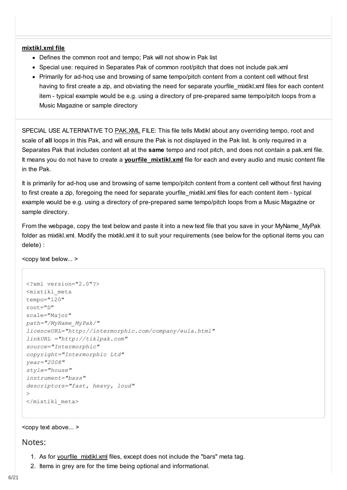#### <span id="page-5-0"></span>**mixtikl.xml file**

- Defines the common root and tempo; Pak will not show in Pak list
- Special use: required in Separates Pak of common root/pitch that does not include pak.xml
- Primarily for ad-hoq use and browsing of same tempo/pitch content from a content cell without first having to first create a zip, and obviating the need for separate yourfile mixtikl.xml files for each content item - typical example would be e.g. using a directory of pre-prepared same tempo/pitch loops from a Music Magazine or sample directory

SPECIAL USE ALTERNATIVE TO [PAK.XML](#page-3-0) FILE: This file tells Mixtikl about any overriding tempo, root and scale of **all** loops in this Pak, and will ensure the Pak is not displayed in the Pak list. Is only required in a Separates Pak that includes content all at the **same** tempo and root pitch, and does not contain a pak.xml file. It means you do not have to create a **[yourfile\\_mixtikl.xml](#page-7-0)** file for each and every audio and music content file in the Pak.

It is primarily for ad-hoq use and browsing of same tempo/pitch content from a content cell without first having to first create a zip, foregoing the need for separate yourfile\_mixtikl.xml files for each content item - typical example would be e.g. using a directory of pre-prepared same tempo/pitch loops from a Music Magazine or sample directory.

From the webpage, copy the text below and paste it into a new text file that you save in your MyName\_MyPak folder as mixtikl.xml. Modify the mixtikl.xml it to suit your requirements (see below for the optional items you can delete) :

<copy text below... >

```
<?xml version="2.0"?>
<mixtikl_meta
tempo="120"
root="D"
scale="Major"
path="/MyName_MyPak/" 
licenceURL="http://intermorphic.com/company/eula.html" 
linkURL ="http://tiklpak.com" 
source="Intermorphic" 
copyright="Intermorphic Ltd" 
year="2008" 
style="house" 
instrument="bass" 
descriptors="fast, heavy, loud" 
\rightarrow</mixtikl_meta>
```
#### <copy text above... >

#### Notes:

- 1. As for [yourfile\\_mixtikl.xml](#page-7-0) files, except does not include the "bars" meta tag.
- 2. Items in grey are for the time being optional and informational.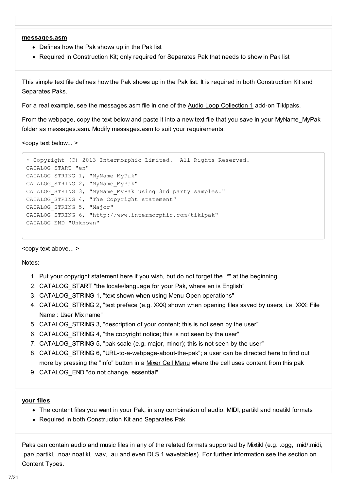#### <span id="page-6-0"></span>**messages.asm**

- Defines how the Pak shows up in the Pak list
- Required in Construction Kit; only required for Separates Pak that needs to show in Pak list

This simple text file defines how the Pak shows up in the Pak list. It is required in both Construction Kit and Separates Paks.

For a real example, see the messages.asm file in one of the [Audio Loop Collection 1](https://intermorphic.com/tiklpak/index.html#included-paks) add-on Tiklpaks.

From the webpage, copy the text below and paste it into a new text file that you save in your MyName\_MyPak folder as messages.asm. Modify messages.asm to suit your requirements:

<copy text below... >

```
* Copyright (C) 2013 Intermorphic Limited. All Rights Reserved.
CATALOG_START "en"
CATALOG_STRING 1, "MyName_MyPak"
CATALOG_STRING 2, "MyName_MyPak"
CATALOG_STRING 3, "MyName_MyPak using 3rd party samples."
CATALOG STRING 4, "The Copyright statement"
CATALOG STRING 5, "Major"
CATALOG_STRING 6, "http://www.intermorphic.com/tiklpak"
CATALOG_END "Unknown"
```
<copy text above... >

Notes:

- 1. Put your copyright statement here if you wish, but do not forget the "\*" at the beginning
- 2. CATALOG\_START "the locale/language for your Pak, where en is English"
- 3. CATALOG\_STRING 1, "text shown when using Menu Open operations"
- 4. CATALOG STRING 2, "text preface (e.g. XXX) shown when opening files saved by users, i.e. XXX: File Name : User Mix name"
- 5. CATALOG\_STRING 3, "description of your content; this is not seen by the user"
- 6. CATALOG\_STRING 4, "the copyright notice; this is not seen by the user"
- 7. CATALOG\_STRING 5, "pak scale (e.g. major, minor); this is not seen by the user"
- 8. CATALOG STRING 6, "URL-to-a-webpage-about-the-pak"; a user can be directed here to find out more by pressing the "info" button in a [Mixer Cell Menu](https://intermorphic.com/mixtikl/guide/index.html#mixercell) where the cell uses content from this pak
- 9. CATALOG\_END "do not change, essential"

#### **your files**

- The content files you want in your Pak, in any combination of audio, MIDI, partikl and noatikl formats
- Required in both Construction Kit and Separates Pak

Paks can contain audio and music files in any of the related formats supported by Mixtikl (e.g. .ogg, .mid/.midi, .par/.partikl, .noa/.noatikl, .wav, .au and even DLS 1 wavetables). For further information see the section on [Content Types.](#page-13-0)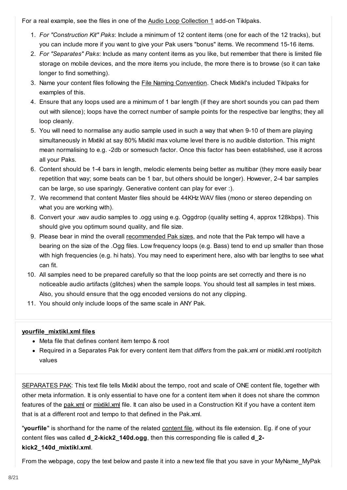<span id="page-7-0"></span>For a real example, see the files in one of the [Audio Loop Collection 1](https://intermorphic.com/tiklpak/index.html#included-paks) add-on Tiklpaks.

- 1. *For "Construction Kit" Paks*: Include a minimum of 12 content items (one for each of the 12 tracks), but you can include more if you want to give your Pak users "bonus" items. We recommend 15-16 items.
- 2. *For "Separates" Paks*: Include as many content items as you like, but remember that there is limited file storage on mobile devices, and the more items you include, the more there is to browse (so it can take longer to find something).
- 3. Name your content files following the [File Naming Convention.](#page-14-0) Check Mixtikl's included Tiklpaks for examples of this.
- 4. Ensure that any loops used are a minimum of 1 bar length (if they are short sounds you can pad them out with silence); loops have the correct number of sample points for the respective bar lengths; they all loop cleanly.
- 5. You will need to normalise any audio sample used in such a way that when 9-10 of them are playing simultaneously in Mixtikl at say 80% Mixtikl max volume level there is no audible distortion. This might mean normalising to e.g. -2db or somesuch factor. Once this factor has been established, use it across all your Paks.
- 6. Content should be 1-4 bars in length, melodic elements being better as multibar (they more easily bear repetition that way; some beats can be 1 bar, but others should be longer). However, 2-4 bar samples can be large, so use sparingly. Generative content can play for ever :).
- 7. We recommend that content Master files should be 44KHz WAV files (mono or stereo depending on what you are working with).
- 8. Convert your .wav audio samples to .ogg using e.g. Oggdrop (quality setting 4, approx 128kbps). This should give you optimum sound quality, and file size.
- 9. Please bear in mind the overall [recommended Pak sizes,](#page-2-0) and note that the Pak tempo will have a bearing on the size of the .Ogg files. Low frequency loops (e.g. Bass) tend to end up smaller than those with high frequencies (e.g. hi hats). You may need to experiment here, also with bar lengths to see what can fit.
- 10. All samples need to be prepared carefully so that the loop points are set correctly and there is no noticeable audio artifacts (glitches) when the sample loops. You should test all samples in test mixes. Also, you should ensure that the ogg encoded versions do not any clipping.
- 11. You should only include loops of the same scale in ANY Pak.

### **yourfile\_mixtikl.xml files**

- Meta file that defines content item tempo & root
- Required in a Separates Pak for every content item that *differs* from the pak.xml or mixtikl.xml root/pitch values

[SEPARATES PAK:](#page-1-0) This text file tells Mixtikl about the tempo, root and scale of ONE content file, together with other meta information. It is only essential to have one for a content item when it does not share the common features of the [pak.xml](#page-3-0) or [mixtikl.xml](#page-5-0) file. It can also be used in a Construction Kit if you have a content item that is at a different root and tempo to that defined in the Pak.xml.

"**yourfile**" is shorthand for the name of the related [content file,](#page-6-0) without its file extension. Eg. if one of your content files was called **d\_2-kick2\_140d.ogg**, then this corresponding file is called **d\_2 kick2\_140d\_mixtikl.xml**.

From the webpage, copy the text below and paste it into a new text file that you save in your MyName\_MyPak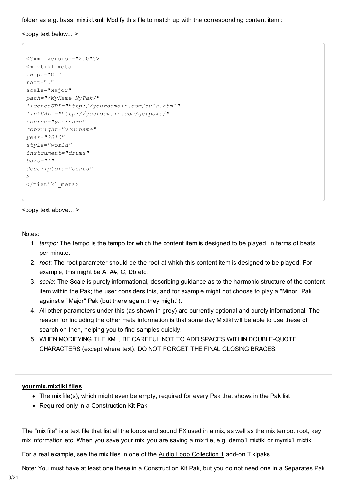folder as e.g. bass mixtikl.xml. Modify this file to match up with the corresponding content item :

<copy text below... >

```
<?xml version="2.0"?>
<mixtikl_meta
tempo="81"
root="D"
scale="Major"
path="/MyName_MyPak/" 
licenceURL="http://yourdomain.com/eula.html" 
linkURL ="http://yourdomain.com/getpaks/"
source="yourname" 
copyright="yourname" 
year="2010" 
style="world" 
instrument="drums" 
bars="1" 
descriptors="beats" 
>
</mixtikl_meta>
```
<copy text above... >

Notes:

- 1. *tempo*: The tempo is the tempo for which the content item is designed to be played, in terms of beats per minute.
- 2. *root*: The root parameter should be the root at which this content item is designed to be played. For example, this might be A, A#, C, Db etc.
- 3. *scale*: The Scale is purely informational, describing guidance as to the harmonic structure of the content item within the Pak; the user considers this, and for example might not choose to play a "Minor" Pak against a "Major" Pak (but there again: they might!).
- 4. All other parameters under this (as shown in grey) are currently optional and purely informational. The reason for including the other meta information is that some day Mixtikl will be able to use these of search on then, helping you to find samples quickly.
- 5. WHEN MODIFYING THE XML, BE CAREFUL NOT TO ADD SPACES WITHIN DOUBLE-QUOTE CHARACTERS (except where text). DO NOT FORGET THE FINAL CLOSING BRACES.

#### **yourmix.mixtikl files**

- The mix file(s), which might even be empty, required for every Pak that shows in the Pak list
- Required only in a Construction Kit Pak

The "mix file" is a text file that list all the loops and sound FX used in a mix, as well as the mix tempo, root, key mix information etc. When you save your mix, you are saving a mix file, e.g. demo1.mixtikl or mymix1.mixtikl.

For a real example, see the mix files in one of the [Audio Loop Collection 1](https://intermorphic.com/tiklpak/index.html#included-paks) add-on Tiklpaks.

Note: You must have at least one these in a Construction Kit Pak, but you do not need one in a Separates Pak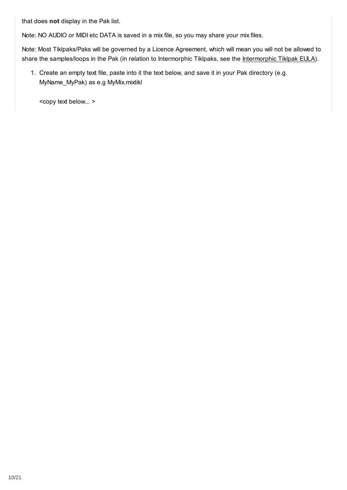that does **not** display in the Pak list.

Note: NO AUDIO or MIDI etc DATA is saved in a mix file, so you may share your mix files.

Note: Most Tiklpaks/Paks will be governed by a Licence Agreement, which will mean you will not be allowed to share the samples/loops in the Pak (in relation to Intermorphic Tiklpaks, see the [Intermorphic Tiklpak EULA\)](https://intermorphic.com/eula/index.html).

1. Create an empty text file, paste into it the text below, and save it in your Pak directory (e.g. MyName\_MyPak) as e.g MyMix.mixtikl

<copy text below... >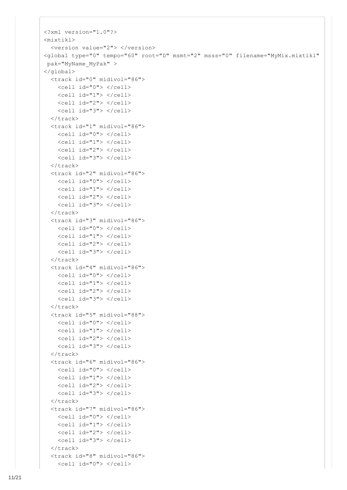```
<?xml version="1.0"?>
<mixtikl>
   <version value="2"> </version>
<global type="0" tempo="60" root="D" msmt="2" msss="0" filename="MyMix.mixtikl"
 pak="MyName_MyPak" >
</global>
   <track id="0" midivol="86">
    \text{cell} id="0"> \text{<<cell} <cell id="1"> </cell>
     <cell id="2"> </cell>
     <cell id="3"> </cell>
  \langletrack>
   <track id="1" midivol="86">
     <cell id="0"> </cell>
    \text{cell} id="1"> \text{<<}cell>
     <cell id="2"> </cell>
     <cell id="3"> </cell>
  \langle/track>
   <track id="2" midivol="86">
     <cell id="0"> </cell>
    \text{cell} id="1"> \text{<<}cell>
     <cell id="2"> </cell>
     <cell id="3"> </cell>
  \langletrack>
   <track id="3" midivol="86">
     <cell id="0"> </cell>
     <cell id="1"> </cell>
     <cell id="2"> </cell>
     <cell id="3"> </cell>
  \langle/track>
   <track id="4" midivol="86">
     <cell id="0"> </cell>
     <cell id="1"> </cell>
    \text{cell} id="2"> \text{<<cell}\langlecell id="3"> \langle/cell>
  \langletrack>
   <track id="5" midivol="88">
     <cell id="0"> </cell>
    \text{cell} id="1"> \text{<<cell}\text{cell} id="2"> \text{<<cell} <cell id="3"> </cell>
  \langle/track>
   <track id="6" midivol="86">
    \text{cell} id="0"> \text{<<cell} <cell id="1"> </cell>
     <cell id="2"> </cell>
    \langlecell id="3"> \langle/cell>
  \langle/track>
   <track id="7" midivol="86">
     <cell id="0"> </cell>
    \text{cell} id="1"> \text{<<cell}\langlecell id="2"> \langle/cell>
     <cell id="3"> </cell>
  \langle/track>
   <track id="8" midivol="86">
     <cell id="0"> </cell>
```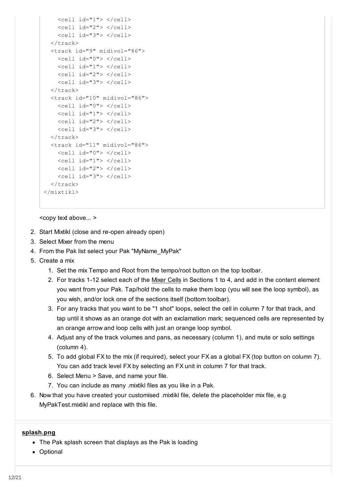```
 <cell id="1"> </cell>
     <cell id="2"> </cell>
     <cell id="3"> </cell>
  \langle/track>
  <track id="9" midivol="86">
     <cell id="0"> </cell>
    \text{1} id="1"> \text{1} <cell id="2"> </cell>
     <cell id="3"> </cell>
 \langle/track>
  <track id="10" midivol="86">
     <cell id="0"> </cell>
     <cell id="1"> </cell>
     <cell id="2"> </cell>
     <cell id="3"> </cell>
 \langletrack>
  <track id="11" midivol="86">
     <cell id="0"> </cell>
    <cell id="1"> </cell>
     <cell id="2"> </cell>
     <cell id="3"> </cell>
  \langle/track>
</mixtikl>
```
<copy text above... >

- 2. Start Mixtikl (close and re-open already open)
- 3. Select Mixer from the menu
- 4. From the Pak list select your Pak "MyName\_MyPak"
- 5. Create a mix
	- 1. Set the mix Tempo and Root from the tempo/root button on the top toolbar.
	- 2. For tracks 1-12 select each of the [Mixer Cells](https://intermorphic.com/mixtikl/guide/index.html#mixercell) in Sections 1 to 4, and add in the content element you want from your Pak. Tap/hold the cells to make them loop (you will see the loop symbol), as you wish, and/or lock one of the sections itself (bottom toolbar).
	- 3. For any tracks that you want to be "1 shot" loops, select the cell in column 7 for that track, and tap until it shows as an orange dot with an exclamation mark; sequenced cells are represented by an orange arrow and loop cells with just an orange loop symbol.
	- 4. Adjust any of the track volumes and pans, as necessary (column 1), and mute or solo settings (column 4).
	- 5. To add global FX to the mix (if required), select your FX as a global FX (top button on column 7). You can add track level FX by selecting an FX unit in column 7 for that track.
	- 6. Select Menu > Save, and name your file.
	- 7. You can include as many .mixtikl files as you like in a Pak.
- 6. Now that you have created your customised .mixtikl file, delete the placeholder mix file, e.g MyPakTest.mixtikl and replace with this file.

#### **splash.png**

- The Pak splash screen that displays as the Pak is loading
- Optional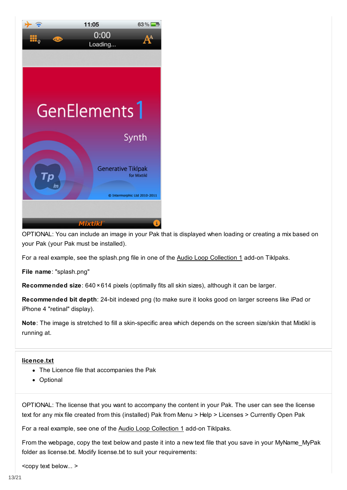

OPTIONAL: You can include an image in your Pak that is displayed when loading or creating a mix based on your Pak (your Pak must be installed).

For a real example, see the splash.png file in one of the [Audio Loop Collection 1](https://intermorphic.com/tiklpak/index.html#included-paks) add-on Tiklpaks.

**File name**: "splash.png"

**Recommended size**: 640 ×614 pixels (optimally fits all skin sizes), although it can be larger.

**Recommended bit depth**: 24-bit indexed png (to make sure it looks good on larger screens like iPad or iPhone 4 "retinal" display).

**Note**: The image is stretched to fill a skin-specific area which depends on the screen size/skin that Mixtikl is running at.

#### **licence.txt**

- The Licence file that accompanies the Pak
- Optional

OPTIONAL: The license that you want to accompany the content in your Pak. The user can see the license text for any mix file created from this (installed) Pak from Menu > Help > Licenses > Currently Open Pak

For a real example, see one of the [Audio Loop Collection 1](https://intermorphic.com/tiklpak/index.html#included-paks) add-on Tiklpaks.

From the webpage, copy the text below and paste it into a new text file that you save in your MyName\_MyPak folder as license.txt. Modify license.txt to suit your requirements:

<copy text below... >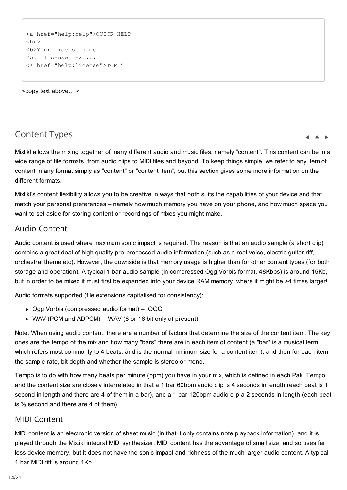```
<a href="help:help">QUICK HELP
\langle h r \rangle<b>Your license name
Your license text...
<a href="help:license">TOP ^
```
<copy text above... >

# Content Types

Mixtikl allows the mixing together of many different audio and music files, namely "content". This content can be in a wide range of file formats, from audio clips to MIDI files and beyond. To keep things simple, we refer to any item of content in any format simply as "content" or "content item", but this section gives some more information on the different formats.

 $\blacktriangle$   $\blacktriangle$   $\blacktriangleright$ 

Mixtikl's content flexibility allows you to be creative in ways that both suits the capabilities of your device and that match your personal preferences – namely how much memory you have on your phone, and how much space you want to set aside for storing content or recordings of mixes you might make.

### Audio Content

Audio content is used where maximum sonic impact is required. The reason is that an audio sample (a short clip) contains a great deal of high quality pre-processed audio information (such as a real voice, electric guitar riff, orchestral theme etc). However, the downside is that memory usage is higher than for other content types (for both storage and operation). A typical 1 bar audio sample (in compressed Ogg Vorbis format, 48Kbps) is around 15Kb, but in order to be mixed it must first be expanded into your device RAM memory, where it might be >4 times larger!

Audio formats supported (file extensions capitalised for consistency):

- Ogg Vorbis (compressed audio format) .OGG
- WAV (PCM and ADPCM) .WAV (8 or 16 bit only at present)

Note: When using audio content, there are a number of factors that determine the size of the content item. The key ones are the tempo of the mix and how many "bars" there are in each item of content (a "bar" is a musical term which refers most commonly to 4 beats, and is the normal minimum size for a content item), and then for each item the sample rate, bit depth and whether the sample is stereo or mono.

Tempo is to do with how many beats per minute (bpm) you have in your mix, which is defined in each Pak. Tempo and the content size are closely interrelated in that a 1 bar 60bpm audio clip is 4 seconds in length (each beat is 1 second in length and there are 4 of them in a bar), and a 1 bar 120bpm audio clip a 2 seconds in length (each beat is  $\frac{1}{2}$  second and there are 4 of them).

### MIDI Content

MIDI content is an electronic version of sheet music (in that it only contains note playback information), and it is played through the Mixtikl integral MIDI synthesizer. MIDI content has the advantage of small size, and so uses far less device memory, but it does not have the sonic impact and richness of the much larger audio content. A typical 1 bar MIDI riff is around 1Kb.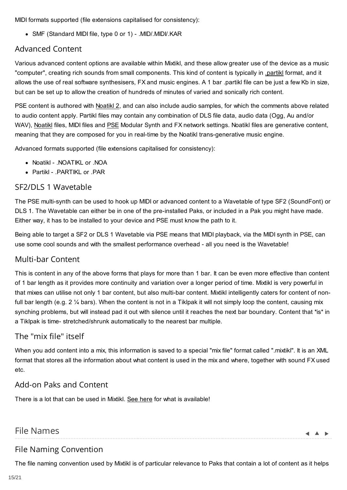<span id="page-14-0"></span>MIDI formats supported (file extensions capitalised for consistency):

SMF (Standard MIDI file, type 0 or 1) - .MID/.MIDI/.KAR

# Advanced Content

Various advanced content options are available within Mixtikl, and these allow greater use of the device as a music "computer", creating rich sounds from small components. This kind of content is typically in [.partikl](https://intermorphic.com/pse/3/index.html) format, and it allows the use of real software synthesisers, FX and music engines. A 1 bar .partikl file can be just a few Kb in size, but can be set up to allow the creation of hundreds of minutes of varied and sonically rich content.

PSE content is authored with [Noatikl 2,](https://intermorphic.com/noatikl/index.html) and can also include audio samples, for which the comments above related to audio content apply. Partikl files may contain any combination of DLS file data, audio data (Ogg, Au and/or WAV), [Noatikl](https://intermorphic.com/noatikl/index.html) files, MIDI files and [PSE](https://intermorphic.com/pse/3/index.html) Modular Synth and FX network settings. Noatikl files are generative content, meaning that they are composed for you in real-time by the Noatikl trans-generative music engine.

Advanced formats supported (file extensions capitalised for consistency):

- Noatikl .NOATIKL or .NOA
- Partikl .PARTIKL or .PAR

# SF2/DLS 1 Wavetable

The PSE multi-synth can be used to hook up MIDI or advanced content to a Wavetable of type SF2 (SoundFont) or DLS 1. The Wavetable can either be in one of the pre-installed Paks, or included in a Pak you might have made. Either way, it has to be installed to your device and PSE must know the path to it.

Being able to target a SF2 or DLS 1 Wavetable via PSE means that MIDI playback, via the MIDI synth in PSE, can use some cool sounds and with the smallest performance overhead - all you need is the Wavetable!

# Multi-bar Content

This is content in any of the above forms that plays for more than 1 bar. It can be even more effective than content of 1 bar length as it provides more continuity and variation over a longer period of time. Mixtikl is very powerful in that mixes can utilise not only 1 bar content, but also multi-bar content. Mixtikl intelligently caters for content of nonfull bar length (e.g. 2 % bars). When the content is not in a Tiklpak it will not simply loop the content, causing mix synching problems, but will instead pad it out with silence until it reaches the next bar boundary. Content that \*is\* in a Tiklpak is time- stretched/shrunk automatically to the nearest bar multiple.

# The "mix file" itself

When you add content into a mix, this information is saved to a special "mix file" format called ".mixtikl". It is an XML format that stores all the information about what content is used in the mix and where, together with sound FX used etc.

# Add-on Paks and Content

There is a lot that can be used in Mixtikl. [See here](https://intermorphic.com/tiklpak/index.html) for what is available!

# File Names

 $\blacksquare$ 

# File Naming Convention

The file naming convention used by Mixtikl is of particular relevance to Paks that contain a lot of content as it helps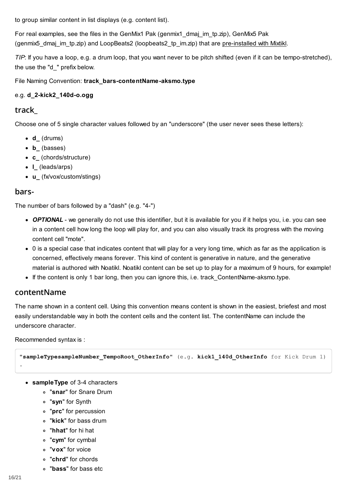to group similar content in list displays (e.g. content list).

For real examples, see the files in the GenMix1 Pak (genmix1\_dmaj\_im\_tp.zip), GenMix5 Pak (genmix5 dmaj im tp.zip) and LoopBeats2 (loopbeats2 tp im.zip) that are [pre-installed with Mixtikl.](https://intermorphic.com/tiklpak/index.html#included-paks)

*TIP*: If you have a loop, e.g. a drum loop, that you want never to be pitch shifted (even if it can be tempo-stretched), the use the "d\_" prefix below.

File Naming Convention: **track\_bars-contentName-aksmo.type**

### e.g. **d\_2-kick2\_140d-o.ogg**

### **track\_**

Choose one of 5 single character values followed by an "underscore" (the user never sees these letters):

- **d\_** (drums)
- **b\_** (basses)
- **c\_** (chords/structure)
- **l\_** (leads/arps)
- **u\_** (fx/vox/custom/stings)

### **bars-**

The number of bars followed by a "dash" (e.g. "4-")

- *OPTIONAL* we generally do not use this identifier, but it is available for you if it helps you, i.e. you can see in a content cell how long the loop will play for, and you can also visually track its progress with the moving content cell "mote".
- 0 is a special case that indicates content that will play for a very long time, which as far as the application is concerned, effectively means forever. This kind of content is generative in nature, and the generative material is authored with Noatikl. Noatikl content can be set up to play for a maximum of 9 hours, for example!
- If the content is only 1 bar long, then you can ignore this, i.e. track ContentName-aksmo.type.

### **contentName**

The name shown in a content cell. Using this convention means content is shown in the easiest, briefest and most easily understandable way in both the content cells and the content list. The contentName can include the underscore character.

#### Recommended syntax is :

```
"sampleTypesampleNumber_TempoRoot_OtherInfo" (e.g. kick1_140d_OtherInfo for Kick Drum 1)
```
- **sampleType** of 3-4 characters
	- "**snar**" for Snare Drum
	- "**syn**" for Synth
	- "**prc**" for percussion
	- "**kick**" for bass drum
	- "**hhat**" for hi hat
	- "**cym**" for cymbal
	- "**vox**" for voice
	- "**chrd**" for chords
	- "**bass**" for bass etc

.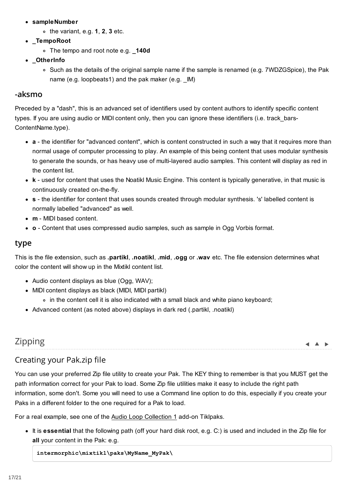- <span id="page-16-0"></span>**sampleNumber**
	- the variant, e.g. **1**, **2**, **3** etc.
- **\_TempoRoot**
	- The tempo and root note e.g. **\_140d**
- **\_OtherInfo**
	- Such as the details of the original sample name if the sample is renamed (e.g. 7WDZGSpice), the Pak name (e.g. loopbeats1) and the pak maker (e.g. \_IM)

### **-aksmo**

Preceded by a "dash", this is an advanced set of identifiers used by content authors to identify specific content types. If you are using audio or MIDI content only, then you can ignore these identifiers (i.e. track\_bars-ContentName.type).

- **a** the identifier for "advanced content", which is content constructed in such a way that it requires more than normal usage of computer processing to play. An example of this being content that uses modular synthesis to generate the sounds, or has heavy use of multi-layered audio samples. This content will display as red in the content list.
- **k** used for content that uses the Noatikl Music Engine. This content is typically generative, in that music is continuously created on-the-fly.
- **s** the identifier for content that uses sounds created through modular synthesis. 's' labelled content is normally labelled "advanced" as well.
- **m** MIDI based content.
- **o** Content that uses compressed audio samples, such as sample in Ogg Vorbis format.

### **type**

This is the file extension, such as **.partikl**, **.noatikl**, **.mid**, **.ogg** or **.wav** etc. The file extension determines what color the content will show up in the Mixtikl content list.

- Audio content displays as blue (Ogg, WAV);
- MIDI content displays as black (MIDI, MIDI partikl)
	- in the content cell it is also indicated with a small black and white piano keyboard;
- Advanced content (as noted above) displays in dark red (.partikl, .noatikl)

# Zipping

#### $\blacktriangle$   $\blacktriangle$   $\blacktriangleright$

# Creating your Pak.zip file

You can use your preferred Zip file utility to create your Pak. The KEY thing to remember is that you MUST get the path information correct for your Pak to load. Some Zip file utilities make it easy to include the right path information, some don't. Some you will need to use a Command line option to do this, especially if you create your Paks in a different folder to the one required for a Pak to load.

For a real example, see one of the [Audio Loop Collection 1](https://intermorphic.com/tiklpak/index.html#included-paks) add-on Tiklpaks.

It is **essential** that the following path (off your hard disk root, e.g. C:) is used and included in the Zip file for **all** your content in the Pak: e.g.

**intermorphic\mixtikl\paks\MyName\_MyPak\**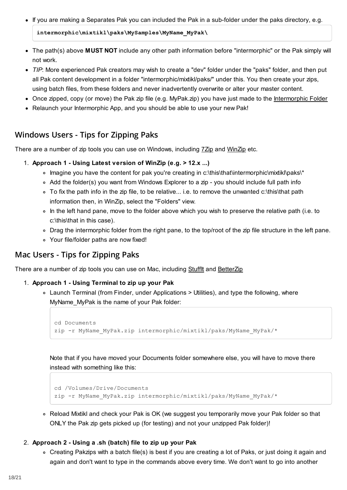• If you are making a Separates Pak you can included the Pak in a sub-folder under the paks directory, e.g.

**intermorphic\mixtikl\paks\MySamples\MyName\_MyPak\**

- The path(s) above **MUST NOT** include any other path information before "intermorphic" or the Pak simply will not work.
- *TIP*: More experienced Pak creators may wish to create a "dev" folder under the "paks" folder, and then put all Pak content development in a folder "intermorphic/mixtikl/paks/" under this. You then create your zips, using batch files, from these folders and never inadvertently overwrite or alter your master content.
- Once zipped, copy (or move) the Pak zip file (e.g. MyPak.zip) you have just made to the [Intermorphic Folder](https://intermorphic.com/tiklpak/index.html#intermorphicfolder)
- Relaunch your Intermorphic App, and you should be able to use your new Pak!

# **Windows Users - Tips for Zipping Paks**

There are a number of zip tools you can use on Windows, including [7Zip](http://www.7-zip.org/) and [WinZip](http://www.winzip.com/) etc.

- 1. **Approach 1 Using Latest version of WinZip (e.g. > 12.x ...)**
	- Imagine you have the content for pak you're creating in c:\this\that\intermorphic\mixtikl\paks\\*
	- Add the folder(s) you want from Windows Explorer to a zip you should include full path info
	- To fix the path info in the zip file, to be relative... i.e. to remove the unwanted c:\this\that path information then, in WinZip, select the "Folders" view.
	- In the left hand pane, move to the folder above which you wish to preserve the relative path (i.e. to c:\this\that in this case).
	- Drag the intermorphic folder from the right pane, to the top/root of the zip file structure in the left pane.
	- Your file/folder paths are now fixed!

# **Mac Users - Tips for Zipping Paks**

There are a number of zip tools you can use on Mac, including Stufflt and [BetterZip](http://macitbetter.com/)

#### 1. **Approach 1 - Using Terminal to zip up your Pak**

Launch Terminal (from Finder, under Applications > Utilities), and type the following, where MyName MyPak is the name of your Pak folder:

```
cd Documents
zip -r MyName_MyPak.zip intermorphic/mixtikl/paks/MyName_MyPak/*
```
Note that if you have moved your Documents folder somewhere else, you will have to move there instead with something like this:

```
cd /Volumes/Drive/Documents
zip -r MyName_MyPak.zip intermorphic/mixtikl/paks/MyName_MyPak/*
```
Reload Mixtikl and check your Pak is OK (we suggest you temporarily move your Pak folder so that ONLY the Pak zip gets picked up (for testing) and not your unzipped Pak folder)!

#### 2. **Approach 2 - Using a .sh (batch) file to zip up your Pak**

Creating Pakzips with a batch file(s) is best if you are creating a lot of Paks, or just doing it again and again and don't want to type in the commands above every time. We don't want to go into another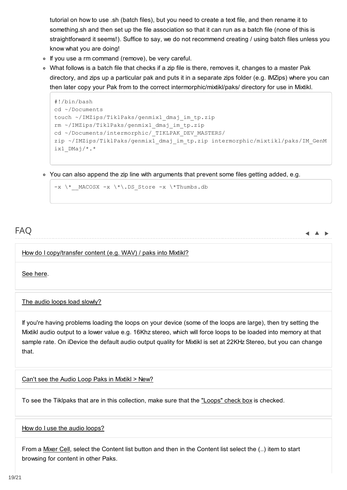<span id="page-18-0"></span>tutorial on how to use .sh (batch files), but you need to create a text file, and then rename it to something.sh and then set up the file association so that it can run as a batch file (none of this is straightforward it seems!). Suffice to say, we do not recommend creating / using batch files unless you know what you are doing!

- o If you use a rm command (remove), be very careful.
- What follows is a batch file that checks if a zip file is there, removes it, changes to a master Pak directory, and zips up a particular pak and puts it in a separate zips folder (e.g. IMZips) where you can then later copy your Pak from to the correct intermorphic/mixtikl/paks/ directory for use in Mixtikl.

```
#!/bin/bash
cd ~/Documents
touch ~/IMZips/TiklPaks/genmix1_dmaj_im_tp.zip
rm ~/IMZips/TiklPaks/genmix1_dmaj_im_tp.zip
cd ~/Documents/intermorphic/_TIKLPAK_DEV_MASTERS/
zip ~/IMZips/TiklPaks/genmix1_dmaj_im_tp.zip intermorphic/mixtikl/paks/IM_GenM
ix1 DMaj/*.*
```
You can also append the zip line with arguments that prevent some files getting added, e.g.

```
-x \ \ * MACOSX -x \ \*. DS_Store -x \ \*Thumbs.db
```
# FAQ

 $\blacktriangle$   $\blacktriangle$   $\blacktriangleright$ 

How do I copy/transfer content (e.g. WAV) / paks into Mixtikl?

[See here.](https://intermorphic.com/help/#faq-content-installation)

The audio loops load slowly?

If you're having problems loading the loops on your device (some of the loops are large), then try setting the Mixtikl audio output to a lower value e.g. 16Khz stereo, which will force loops to be loaded into memory at that sample rate. On iDevice the default audio output quality for Mixtikl is set at 22KHz Stereo, but you can change that.

Can't see the Audio Loop Paks in Mixtikl > New?

To see the Tiklpaks that are in this collection, make sure that the ["Loops" check box](https://intermorphic.com/mixtikl/guide) is checked.

#### How do I use the audio loops?

From a [Mixer Cell,](https://intermorphic.com/mixtikl/guide/#mixercell) select the Content list button and then in the Content list select the (..) item to start browsing for content in other Paks.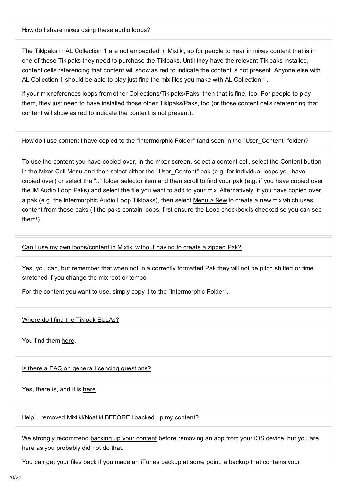#### How do I share mixes using these audio loops?

The Tiklpaks in AL Collection 1 are not embedded in Mixtikl, so for people to hear in mixes content that is in one of these Tiklpaks they need to purchase the Tiklpaks. Until they have the relevant Tiklpaks installed, content cells referencing that content will show as red to indicate the content is not present. Anyone else with AL Collection 1 should be able to play just fine the mix files you make with AL Collection 1.

If your mix references loops from other Collections/Tiklpaks/Paks, then that is fine, too. For people to play them, they just need to have installed those other Tiklpaks/Paks, too (or those content cells referencing that content will show as red to indicate the content is not present).

#### How do I use content I have copied to the "Intermorphic Folder" (and seen in the "User Content" folder)?

To use the content you have copied over, in [the mixer screen,](https://intermorphic.com/mixtikl/guide/#mixer) select a content cell, select the Content button in the [Mixer Cell Menu](https://intermorphic.com/mixtikl/guide/#mixercell) and then select either the "User\_Content" pak (e.g. for individual loops you have copied over) or select the ".." folder selector item and then scroll to find your pak (e.g. if you have copied over the IM Audio Loop Paks) and select the file you want to add to your mix. Alternatively, if you have copied over a pak (e.g. the Intermorphic Audio Loop Tiklpaks), then select [Menu > New](https://intermorphic.com/mixtikl/guide/#new) to create a new mix which uses content from those paks (if the paks contain loops, first ensure the Loop checkbox is checked so you can see them!).

#### Can I use my own loops/content in Mixtikl without having to create a zipped Pak?

Yes, you can, but remember that when not in a correctly formatted Pak they will not be pitch shifted or time stretched if you change the mix root or tempo.

For the content you want to use, simply [copy it to the "Intermorphic Folder".](https://intermorphic.com/help/#faq-content-installation)

#### Where do I find the Tiklpak EULAs?

You find them [here.](https://intermorphic.com/eula/tiklpak)

#### Is there a FAQ on general licencing questions?

Yes, there is, and it is [here.](https://intermorphic.com/help/#faq-licensing)

#### Help! I removed Mixtikl/Noatikl BEFORE I backed up my content?

We strongly recommend [backing up your content](https://intermorphic.com/help/#faq-content-installation) before removing an app from your iOS device, but you are here as you probably did not do that.

You can get your files back if you made an iTunes backup at some point, a backup that contains your